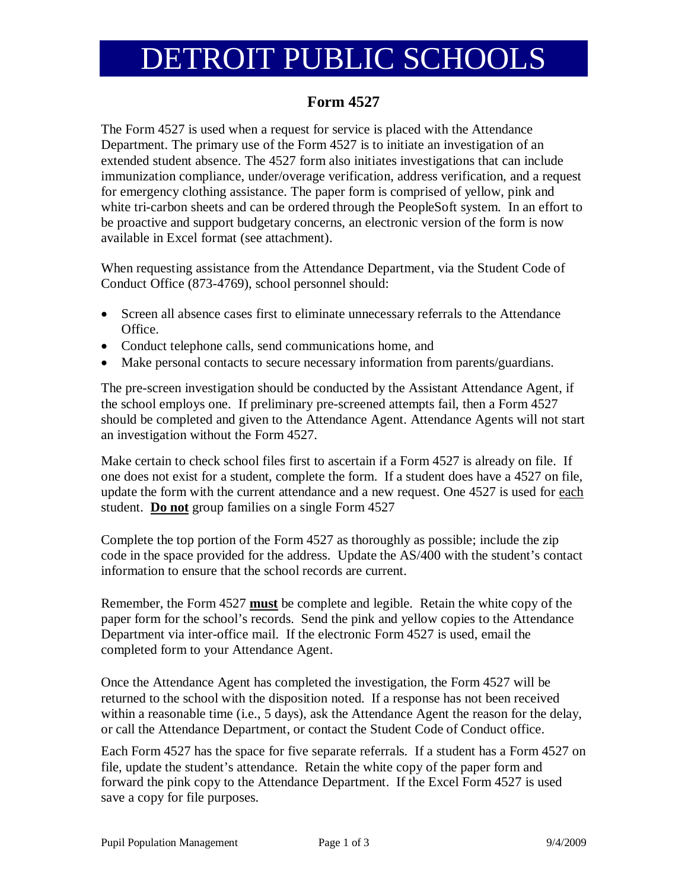# DETROIT PUBLIC SCHOOLS

## **Form 4527**

The Form 4527 is used when a request for service is placed with the Attendance Department. The primary use of the Form 4527 is to initiate an investigation of an extended student absence. The 4527 form also initiates investigations that can include immunization compliance, under/overage verification, address verification, and a request for emergency clothing assistance. The paper form is comprised of yellow, pink and white tri-carbon sheets and can be ordered through the PeopleSoft system. In an effort to be proactive and support budgetary concerns, an electronic version of the form is now available in Excel format (see attachment).

When requesting assistance from the Attendance Department, via the Student Code of Conduct Office (873-4769), school personnel should:

- Screen all absence cases first to eliminate unnecessary referrals to the Attendance Office.
- Conduct telephone calls, send communications home, and
- Make personal contacts to secure necessary information from parents/guardians.

The pre-screen investigation should be conducted by the Assistant Attendance Agent, if the school employs one. If preliminary pre-screened attempts fail, then a Form 4527 should be completed and given to the Attendance Agent. Attendance Agents will not start an investigation without the Form 4527.

Make certain to check school files first to ascertain if a Form 4527 is already on file. If one does not exist for a student, complete the form. If a student does have a 4527 on file, update the form with the current attendance and a new request. One 4527 is used for each student. **Do not** group families on a single Form 4527

Complete the top portion of the Form 4527 as thoroughly as possible; include the zip code in the space provided for the address. Update the AS/400 with the student's contact information to ensure that the school records are current.

Remember, the Form 4527 **must** be complete and legible. Retain the white copy of the paper form for the school's records. Send the pink and yellow copies to the Attendance Department via inter-office mail. If the electronic Form 4527 is used, email the completed form to your Attendance Agent.

Once the Attendance Agent has completed the investigation, the Form 4527 will be returned to the school with the disposition noted. If a response has not been received within a reasonable time (i.e., 5 days), ask the Attendance Agent the reason for the delay, or call the Attendance Department, or contact the Student Code of Conduct office.

Each Form 4527 has the space for five separate referrals. If a student has a Form 4527 on file, update the student's attendance. Retain the white copy of the paper form and forward the pink copy to the Attendance Department. If the Excel Form 4527 is used save a copy for file purposes.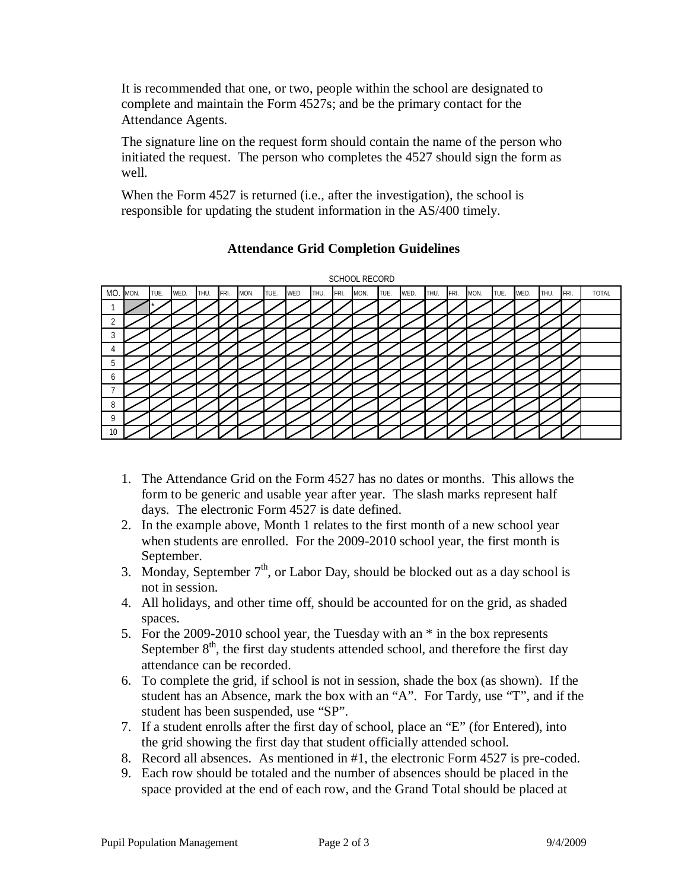It is recommended that one, or two, people within the school are designated to complete and maintain the Form 4527s; and be the primary contact for the Attendance Agents.

The signature line on the request form should contain the name of the person who initiated the request. The person who completes the 4527 should sign the form as well.

When the Form 4527 is returned (i.e., after the investigation), the school is responsible for updating the student information in the AS/400 timely.



### **Attendance Grid Completion Guidelines**

- 1. The Attendance Grid on the Form 4527 has no dates or months. This allows the form to be generic and usable year after year. The slash marks represent half days. The electronic Form 4527 is date defined.
- 2. In the example above, Month 1 relates to the first month of a new school year when students are enrolled. For the 2009-2010 school year, the first month is September.
- 3. Monday, September  $7<sup>th</sup>$ , or Labor Day, should be blocked out as a day school is not in session.
- 4. All holidays, and other time off, should be accounted for on the grid, as shaded spaces.
- 5. For the 2009-2010 school year, the Tuesday with an \* in the box represents September  $8<sup>th</sup>$ , the first day students attended school, and therefore the first day attendance can be recorded.
- 6. To complete the grid, if school is not in session, shade the box (as shown). If the student has an Absence, mark the box with an "A". For Tardy, use "T", and if the student has been suspended, use "SP".
- 7. If a student enrolls after the first day of school, place an "E" (for Entered), into the grid showing the first day that student officially attended school.
- 8. Record all absences. As mentioned in #1, the electronic Form 4527 is pre-coded.
- 9. Each row should be totaled and the number of absences should be placed in the space provided at the end of each row, and the Grand Total should be placed at